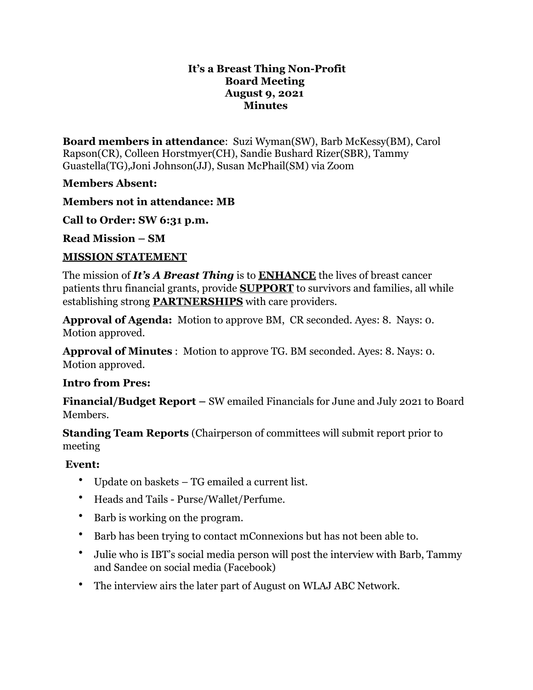#### **It's a Breast Thing Non-Profit Board Meeting August 9, 2021 Minutes**

**Board members in attendance**: Suzi Wyman(SW), Barb McKessy(BM), Carol Rapson(CR), Colleen Horstmyer(CH), Sandie Bushard Rizer(SBR), Tammy Guastella(TG),Joni Johnson(JJ), Susan McPhail(SM) via Zoom

### **Members Absent:**

**Members not in attendance: MB**

**Call to Order: SW 6:31 p.m.**

**Read Mission – SM**

### **MISSION STATEMENT**

The mission of *It's A Breast Thing* is to **ENHANCE** the lives of breast cancer patients thru financial grants, provide **SUPPORT** to survivors and families, all while establishing strong **PARTNERSHIPS** with care providers.

**Approval of Agenda:** Motion to approve BM, CR seconded. Ayes: 8. Nays: 0. Motion approved.

**Approval of Minutes** : Motion to approve TG. BM seconded. Ayes: 8. Nays: 0. Motion approved.

# **Intro from Pres:**

**Financial/Budget Report –** SW emailed Financials for June and July 2021 to Board Members.

**Standing Team Reports** (Chairperson of committees will submit report prior to meeting

# **Event:**

- Update on baskets TG emailed a current list.
- Heads and Tails Purse/Wallet/Perfume.
- Barb is working on the program.
- Barb has been trying to contact mConnexions but has not been able to.
- Julie who is IBT's social media person will post the interview with Barb, Tammy and Sandee on social media (Facebook)
- The interview airs the later part of August on WLAJ ABC Network.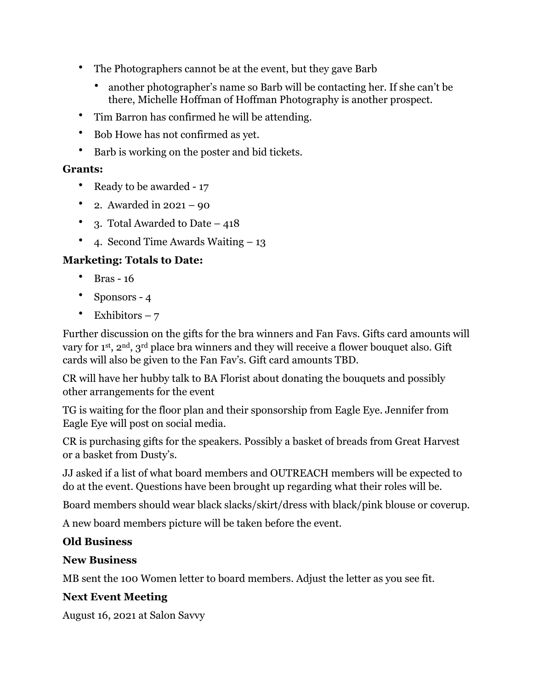- The Photographers cannot be at the event, but they gave Barb
	- another photographer's name so Barb will be contacting her. If she can't be there, Michelle Hoffman of Hoffman Photography is another prospect.
- Tim Barron has confirmed he will be attending.
- Bob Howe has not confirmed as yet.
- Barb is working on the poster and bid tickets.

### **Grants:**

- Ready to be awarded 17
- 2. Awarded in  $2021 90$
- 3. Total Awarded to Date 418
- 4. Second Time Awards Waiting 13

# **Marketing: Totals to Date:**

- Bras 16
- Sponsors 4
- Exhibitors  $-7$

Further discussion on the gifts for the bra winners and Fan Favs. Gifts card amounts will vary for 1st, 2nd, 3rd place bra winners and they will receive a flower bouquet also. Gift cards will also be given to the Fan Fav's. Gift card amounts TBD.

CR will have her hubby talk to BA Florist about donating the bouquets and possibly other arrangements for the event

TG is waiting for the floor plan and their sponsorship from Eagle Eye. Jennifer from Eagle Eye will post on social media.

CR is purchasing gifts for the speakers. Possibly a basket of breads from Great Harvest or a basket from Dusty's.

JJ asked if a list of what board members and OUTREACH members will be expected to do at the event. Questions have been brought up regarding what their roles will be.

Board members should wear black slacks/skirt/dress with black/pink blouse or coverup.

A new board members picture will be taken before the event.

# **Old Business**

### **New Business**

MB sent the 100 Women letter to board members. Adjust the letter as you see fit.

# **Next Event Meeting**

August 16, 2021 at Salon Savvy